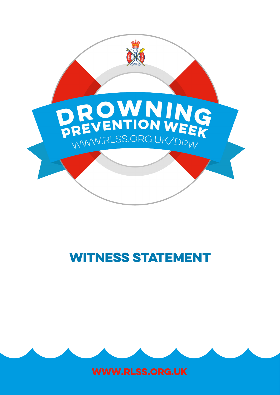

# WITNESS STATEMENT



www.rlss.org.uk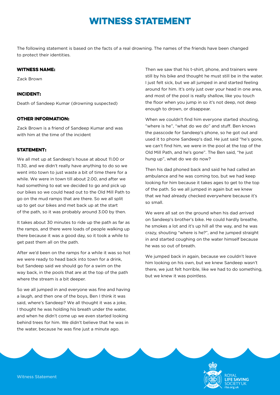# Witness Statement

The following statement is based on the facts of a real drowning. The names of the friends have been changed to protect their identities.

## Witness Name:

Zack Brown

## Incident:

Death of Sandeep Kumar (drowning suspected)

### Other information:

Zack Brown is a friend of Sandeep Kumar and was with him at the time of the incident

### **STATEMENT:**

We all met up at Sandeep's house at about 11.00 or 11.30, and we didn't really have anything to do so we went into town to just waste a bit of time there for a while. We were in town till about 2.00, and after we had something to eat we decided to go and pick up our bikes so we could head out to the Old Mill Path to go on the mud ramps that are there. So we all split up to get our bikes and met back up at the start of the path, so it was probably around 3.00 by then.

It takes about 30 minutes to ride up the path as far as the ramps, and there were loads of people walking up there because it was a good day, so it took a while to get past them all on the path.

After we'd been on the ramps for a while it was so hot we were ready to head back into town for a drink, but Sandeep said we should go for a swim on the way back, in the pools that are at the top of the path where the stream is a bit deeper.

So we all jumped in and everyone was fine and having a laugh, and then one of the boys, Ben I think it was said, where's Sandeep? We all thought it was a joke, I thought he was holding his breath under the water, and when he didn't come up we even started looking behind trees for him. We didn't believe that he was in the water, because he was fine just a minute ago.

Then we saw that his t-shirt, phone, and trainers were still by his bike and thought he must still be in the water. I just felt sick, but we all jumped in and started feeling around for him. It's only just over your head in one area, and most of the pool is really shallow, like you touch the floor when you jump in so it's not deep, not deep enough to drown, or disappear.

When we couldn't find him everyone started shouting, "where is he", "what do we do" and stuff. Ben knows the passcode for Sandeep's phone, so he got out and used it to phone Sandeep's dad. He just said "he's gone, we can't find him, we were in the pool at the top of the Old Mill Path, and he's gone". The Ben said, "he just hung up", what do we do now?

Then his dad phoned back and said he had called an ambulance and he was coming too, but we had keep looking for him because it takes ages to get to the top of the path. So we all jumped in again but we knew that we had already checked everywhere because it's so small.

We were all sat on the ground when his dad arrived on Sandeep's brother's bike. He could hardly breathe, he smokes a lot and it's up hill all the way, and he was crazy, shouting "where is he?", and he jumped straight in and started coughing on the water himself because he was so out of breath.

We jumped back in again, because we couldn't leave him looking on his own, but we knew Sandeep wasn't there, we just felt horrible, like we had to do something, but we knew it was pointless.